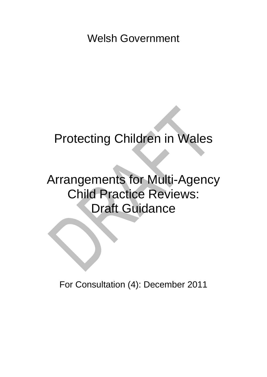Welsh Government

# Protecting Children in Wales

# Arrangements for Multi-Agency Child Practice Reviews: Draft Guidance

For Consultation (4): December 2011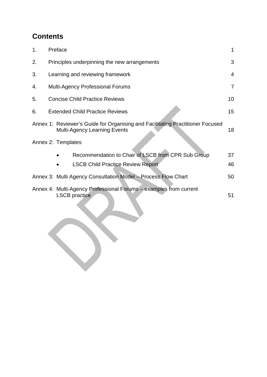# **Contents**

| 1. | Preface                                                                                                               | 1              |
|----|-----------------------------------------------------------------------------------------------------------------------|----------------|
| 2. | Principles underpinning the new arrangements                                                                          | 3              |
| 3. | Learning and reviewing framework                                                                                      | $\overline{4}$ |
| 4. | <b>Multi-Agency Professional Forums</b>                                                                               | $\overline{7}$ |
| 5. | <b>Concise Child Practice Reviews</b>                                                                                 | 10             |
| 6. | <b>Extended Child Practice Reviews</b>                                                                                | 15             |
|    | Annex 1: Reviewer's Guide for Organising and Facilitating Practitioner Focused<br><b>Multi-Agency Learning Events</b> | 18             |
|    | Annex 2: Templates                                                                                                    |                |
|    | Recommendation to Chair of LSCB from CPR Sub Group                                                                    | 37             |
|    | <b>LSCB Child Practice Review Report</b>                                                                              | 46             |
|    | Annex 3: Multi Agency Consultation Model - Process Flow Chart                                                         | 50             |
|    | Annex 4: Multi-Agency Professional Forums – examples from current<br><b>LSCB</b> practice                             | 51             |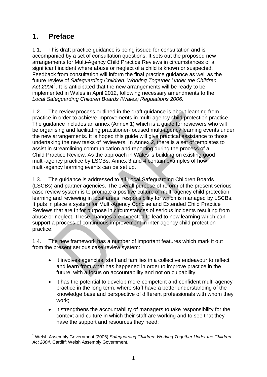# **1. Preface**

1.1. This draft practice guidance is being issued for consultation and is accompanied by a set of consultation questions. It sets out the proposed new arrangements for Multi-Agency Child Practice Reviews in circumstances of a significant incident where abuse or neglect of a child is known or suspected. Feedback from consultation will inform the final practice guidance as well as the future review of *Safeguarding Children: Working Together Under the Children*  Act 2004<sup>[1](#page-2-0)</sup>. It is anticipated that the new arrangements will be ready to be implemented in Wales in April 2012, following necessary amendments to the *Local Safeguarding Children Boards (Wales) Regulations 2006.*

1.2. The review process outlined in the draft guidance is about learning from practice in order to achieve improvements in multi-agency child protection practice. The guidance includes an annex (Annex 1) which is a guide for reviewers who will be organising and facilitating practitioner-focused multi-agency learning events under the new arrangements. It is hoped this guide will give practical assistance to those undertaking the new tasks of reviewers. In Annex 2, there is a set of templates to assist in streamlining communication and reporting during the process of a Child Practice Review. As the approach in Wales is building on existing good multi-agency practice by LSCBs, Annex 3 and 4 contain examples of how multi-agency learning events can be set up.

1.3. The guidance is addressed to all Local Safeguarding Children Boards (LSCBs) and partner agencies. The overall purpose of reform of the present serious case review system is to promote a positive culture of multi-agency child protection learning and reviewing in local areas, responsibility for which is managed by LSCBs. It puts in place a system for Multi-Agency Concise and Extended Child Practice Reviews that are fit for purpose in circumstances of serious incidents resulting from abuse or neglect. These changes are expected to lead to new learning which can support a process of continuous improvement in inter-agency child protection practice.

1.4. The new framework has a number of important features which mark it out from the present serious case review system:

- it involves agencies, staff and families in a collective endeavour to reflect and learn from what has happened in order to improve practice in the future, with a focus on accountability and not on culpability;
- it has the potential to develop more competent and confident multi-agency practice in the long term, where staff have a better understanding of the knowledge base and perspective of different professionals with whom they work;
- it strengthens the accountability of managers to take responsibility for the context and culture in which their staff are working and to see that they have the support and resources they need;

<span id="page-2-0"></span><sup>1</sup> <sup>1</sup> Welsh Assembly Government (2006) Safeguarding Children: Working Together Under the Children *Act 2004.* Cardiff: Welsh Assembly Government.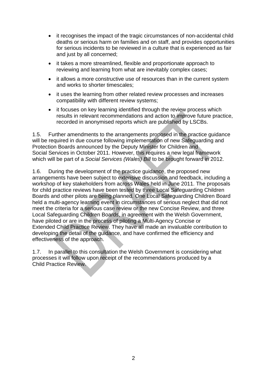- it recognises the impact of the tragic circumstances of non-accidental child deaths or serious harm on families and on staff, and provides opportunities for serious incidents to be reviewed in a culture that is experienced as fair and just by all concerned;
- it takes a more streamlined, flexible and proportionate approach to reviewing and learning from what are inevitably complex cases;
- it allows a more constructive use of resources than in the current system and works to shorter timescales;
- it uses the learning from other related review processes and increases compatibility with different review systems;
- it focuses on key learning identified through the review process which results in relevant recommendations and action to improve future practice, recorded in anonymised reports which are published by LSCBs.

1.5. Further amendments to the arrangements proposed in the practice guidance will be required in due course following implementation of new Safeguarding and Protection Boards announced by the Deputy Minister for Children and Social Services in October 2011. However, this requires a new legal framework which will be part of a *Social Services (Wales) Bill* to be brought forward in 2012.

1.6. During the development of the practice guidance, the proposed new arrangements have been subject to extensive discussion and feedback, including a workshop of key stakeholders from across Wales held in June 2011. The proposals for child practice reviews have been tested by three Local Safeguarding Children Boards and other pilots are being planned. One Local Safeguarding Children Board held a multi-agency learning event in circumstances of serious neglect that did not meet the criteria for a serious case review or the new Concise Review, and three Local Safeguarding Children Boards, in agreement with the Welsh Government, have piloted or are in the process of piloting a Multi-Agency Concise or Extended Child Practice Review. They have all made an invaluable contribution to developing the detail of the guidance, and have confirmed the efficiency and effectiveness of the approach.

1.7. In parallel to this consultation the Welsh Government is considering what processes it will follow upon receipt of the recommendations produced by a Child Practice Review.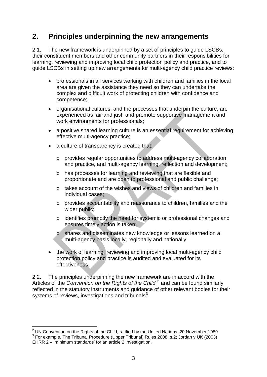# **2. Principles underpinning the new arrangements**

2.1. The new framework is underpinned by a set of principles to guide LSCBs, their constituent members and other community partners in their responsibilities for learning, reviewing and improving local child protection policy and practice, and to guide LSCBs in setting up new arrangements for multi-agency child practice reviews:

- professionals in all services working with children and families in the local area are given the assistance they need so they can undertake the complex and difficult work of protecting children with confidence and competence;
- organisational cultures, and the processes that underpin the culture, are experienced as fair and just, and promote supportive management and work environments for professionals;
- a positive shared learning culture is an essential requirement for achieving effective multi-agency practice;
- a culture of transparency is created that:
	- o provides regular opportunities to address multi-agency collaboration and practice, and multi-agency learning, reflection and development;
	- o has processes for learning and reviewing that are flexible and proportionate and are open to professional and public challenge;
	- o takes account of the wishes and views of children and families in individual cases;
	- o provides accountability and reassurance to children, families and the wider public;
	- o identifies promptly the need for systemic or professional changes and ensures timely action is taken;
	- o shares and disseminates new knowledge or lessons learned on a multi-agency basis locally, regionally and nationally;
- the work of learning, reviewing and improving local multi-agency child protection policy and practice is audited and evaluated for its effectiveness.

2.2. The principles underpinning the new framework are in accord with the Articles of the *Convention on the Rights of the Child* [2](#page-4-0) and can be found similarly reflected in the statutory instruments and guidance of other relevant bodies for their systems of reviews, investigations and tribunals $3$ .

<span id="page-4-1"></span><span id="page-4-0"></span> 2 UN Convention on the Rights of the Child, ratified by the United Nations, 20 November 1989.  $3$  For example, The Tribunal Procedure (Upper Tribunal) Rules 2008, s.2; Jordan v UK (2003) EHRR 2 – 'minimum standards' for an article 2 investigation.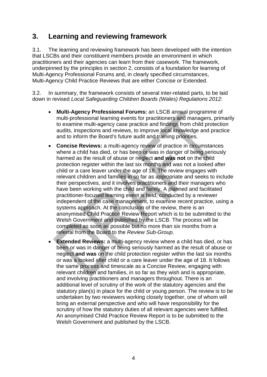# **3. Learning and reviewing framework**

3.1. The learning and reviewing framework has been developed with the intention that LSCBs and their constituent members provide an environment in which practitioners and their agencies can learn from their casework. The framework, underpinned by the principles in section 2, consists of a foundation for learning of Multi-Agency Professional Forums and, in clearly specified circumstances, Multi-Agency Child Practice Reviews that are either Concise or Extended.

3.2. In summary, the framework consists of several inter-related parts, to be laid down in revised *Local Safeguarding Children Boards (Wales) Regulations 2012*:

- **Multi-Agency Professional Forums:** an LSCB annual programme of multi-professional learning events for practitioners and managers, primarily to examine multi-agency case practice and findings from child protection audits, inspections and reviews, to improve local knowledge and practice and to inform the Board's future audit and training priorities.
- **Concise Reviews:** a multi-agency review of practice in circumstances where a child has died, or has been or was in danger of being seriously harmed as the result of abuse or neglect **and was not** on the child protection register within the last six months and was not a looked after child or a care leaver under the age of 18. The review engages with relevant children and families in so far as appropriate and seeks to include their perspectives, and it involves practitioners and their managers who have been working with the child and family. A planned and facilitated practitioner-focused learning event is held, conducted by a reviewer independent of the case management, to examine recent practice, using a systems approach. At the conclusion of the review, there is an anonymised Child Practice Review Report which is to be submitted to the Welsh Government and published by the LSCB. The process will be completed as soon as possible but no more than six months from a referral from the Board to the *Review Sub-Group.*
- **Extended Reviews:** a multi-agency review where a child has died, or has been or was in danger of being seriously harmed as the result of abuse or neglect **and was** on the child protection register within the last six months or was a looked after child or a care leaver under the age of 18. It follows the same process and timescale as a Concise Review, engaging with relevant children and families, in so far as they wish and is appropriate, and involving practitioners and managers throughout. There is an additional level of scrutiny of the work of the statutory agencies and the statutory plan(s) in place for the child or young person. The review is to be undertaken by two reviewers working closely together, one of whom will bring an external perspective and who will have responsibility for the scrutiny of how the statutory duties of all relevant agencies were fulfilled. An anonymised Child Practice Review Report is to be submitted to the Welsh Government and published by the LSCB.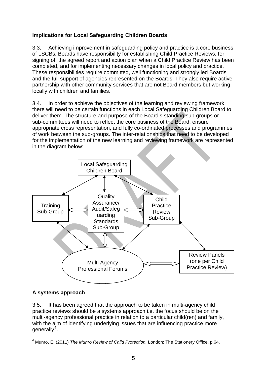#### **Implications for Local Safeguarding Children Boards**

3.3. Achieving improvement in safeguarding policy and practice is a core business of LSCBs. Boards have responsibility for establishing Child Practice Reviews, for signing off the agreed report and action plan when a Child Practice Review has been completed, and for implementing necessary changes in local policy and practice. These responsibilities require committed, well functioning and strongly led Boards and the full support of agencies represented on the Boards. They also require active partnership with other community services that are not Board members but working locally with children and families.

3.4. In order to achieve the objectives of the learning and reviewing framework, there will need to be certain functions in each Local Safeguarding Children Board to deliver them. The structure and purpose of the Board's standing sub-groups or sub-committees will need to reflect the core business of the Board, ensure appropriate cross representation, and fully co-ordinated processes and programmes of work between the sub-groups. The inter-relationships that need to be developed for the implementation of the new learning and reviewing framework are represented in the diagram below:



#### **A systems approach**

3.5. It has been agreed that the approach to be taken in multi-agency child practice reviews should be a systems approach i.e. the focus should be on the multi-agency professional practice in relation to a particular child(ren) and family, with the aim of identifying underlying issues that are influencing practice more generally<sup>[4](#page-6-0)</sup>.

<span id="page-6-0"></span><sup>&</sup>lt;u>.</u> 4 Munro, E. (2011) *The Munro Review of Child Protection.* London: The Stationery Office, p.64.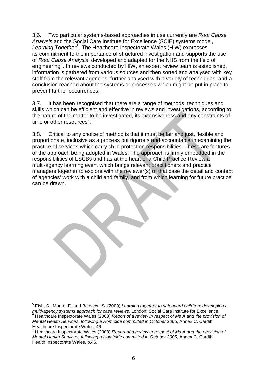3.6. Two particular systems-based approaches in use currently are *Root Cause Analysis* and the Social Care Institute for Excellence (SCIE) systems model, Learning Together<sup>[5](#page-7-0)</sup>. The Healthcare Inspectorate Wales (HIW) expresses its commitment to the importance of structured investigation and supports the use of *Root Cause Analysis*, developed and adapted for the NHS from the field of engineering*[6](#page-7-1)* . In reviews conducted by HIW, an expert review team is established, information is gathered from various sources and then sorted and analysed with key staff from the relevant agencies, further analysed with a variety of techniques, and a conclusion reached about the systems or processes which might be put in place to prevent further occurrences.

3.7. It has been recognised that there are a range of methods, techniques and skills which can be efficient and effective in reviews and investigations, according to the nature of the matter to be investigated, its extensiveness and any constraints of time or other resources<sup>[7](#page-7-2)</sup>.

3.8. Critical to any choice of method is that it must be fair and just, flexible and proportionate, inclusive as a process but rigorous and accountable in examining the practice of services which carry child protection responsibilities. These are features of the approach being adopted in Wales. The approach is firmly embedded in the responsibilities of LSCBs and has at the heart of a Child Practice Review a multi-agency learning event which brings relevant practitioners and practice managers together to explore with the reviewer(s) of that case the detail and context of agencies' work with a child and family, and from which learning for future practice can be drawn.

<span id="page-7-0"></span><sup>1</sup> 5 Fish, S., Munro, E. and Bairstow, S. (2009) *Learning together to safeguard children: developing a multi-agency systems approach for case reviews.* London: Social Care Institute for Excellence. 6 Healthcare Inspectorate Wales (2008) *Report of a review in respect of Ms A and the provision of* 

<span id="page-7-1"></span>*Mental Health Services, following a Homicide committed in October 2005*, Annex C. Cardiff: Healthcare Inspectorate Wales, 46. 7

<span id="page-7-2"></span>Healthcare Inspectorate Wales (2008) *Report of a review in respect of Ms A and the provision of Mental Health Services, following a Homicide committed in October 2005*, Annex C. Cardiff: Health Inspectorate Wales, p.46.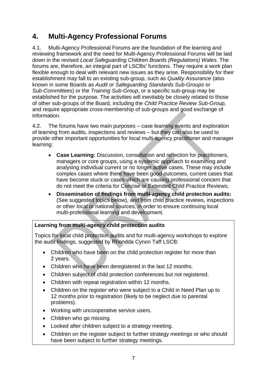# **4. Multi-Agency Professional Forums**

4.1. Multi-Agency Professional Forums are the foundation of the learning and reviewing framework and the need for Multi-Agency Professional Forums will be laid down in the revised *Local Safeguarding Children Boards (Regulations) Wales*. The forums are, therefore, an integral part of LSCBs' functions. They require a work plan flexible enough to deal with relevant new issues as they arise. Responsibility for their establishment may fall to an existing sub-group, such as *Quality Assurance* (also known in some Boards as *Audit* or *Safeguarding Standards Sub-Groups* or *Sub-Committees*) or the *Training Sub-Group*, or a specific sub-group may be established for the purpose. The activities will inevitably be closely related to those of other sub-groups of the Board, including the *Child Practice Review Sub-Group,*  and require appropriate cross-membership of sub-groups and good exchange of information*.*

4.2. The forums have two main purposes – case learning events and exploration of learning from audits, inspections and reviews – but they can also be used to provide other important opportunities for local multi-agency practitioner and manager learning:

- **Case Learning:** Discussion, consultation and reflection for practitioners, managers or core groups, using a systemic approach to examining and analysing individual current or no longer active cases. These may include complex cases where there have been good outcomes, current cases that have become stuck or cases which are causing professional concern that do not meet the criteria for Concise or Extended Child Practice Reviews;
- **Dissemination of findings from multi-agency child protection audits:** (See suggested topics below), and from child practice reviews, inspections or other local or national sources, in order to ensure continuing local multi-professional learning and development.

#### **Learning from multi-agency child protection audits**

Topics for local child protection audits and for multi-agency workshops to explore the audit findings, suggested by Rhondda Cynon Taff LSCB:

- Children who have been on the child protection register for more than 2 years.
- Children who have been deregistered in the last 12 months.
- Children subject of child protection conferences but not registered.
- Children with repeat registration within 12 months.
- Children on the register who were subject to a Child in Need Plan up to 12 months prior to registration (likely to be neglect due to parental problems).
- Working with uncooperative service users.
- Children who go missing.
- Looked after children subject to a strategy meeting.
- Children on the register subject to further strategy meetings or who should have been subject to further strategy meetings.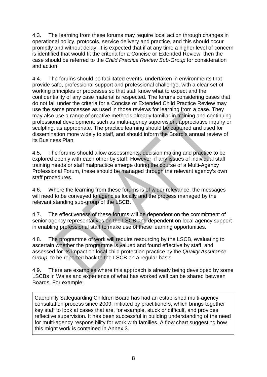4.3. The learning from these forums may require local action through changes in operational policy, protocols, service delivery and practice, and this should occur promptly and without delay. It is expected that if at any time a higher level of concern is identified that would fit the criteria for a Concise or Extended Review, then the case should be referred to the *Child Practice Review Sub-Group* for consideration and action.

4.4. The forums should be facilitated events, undertaken in environments that provide safe, professional support and professional challenge, with a clear set of working principles or processes so that staff know what to expect and the confidentiality of any case material is respected. The forums considering cases that do not fall under the criteria for a Concise or Extended Child Practice Review may use the same processes as used in those reviews for learning from a case. They may also use a range of creative methods already familiar in training and continuing professional development, such as multi-agency supervision, appreciative inquiry or sculpting, as appropriate. The practice learning should be captured and used for dissemination more widely to staff, and should inform the Board's annual review of its Business Plan.

4.5. The forums should allow assessments, decision making and practice to be explored openly with each other by staff. However, if any issues of individual staff training needs or staff malpractice emerge during the course of a Multi-Agency Professional Forum, these should be managed through the relevant agency's own staff procedures.

4.6. Where the learning from these forums is of wider relevance, the messages will need to be conveyed to agencies locally and the process managed by the relevant standing sub-group of the LSCB.

4.7. The effectiveness of these forums will be dependent on the commitment of senior agency representatives on the LSCB and dependent on local agency support in enabling professional staff to make use of these learning opportunities.

4.8. The programme of work will require resourcing by the LSCB, evaluating to ascertain whether the programme is valued and found effective by staff, and assessed for its impact on local child protection practice by the *Quality Assurance Group*, to be reported back to the LSCB on a regular basis.

4.9. There are examples where this approach is already being developed by some LSCBs in Wales and experience of what has worked well can be shared between Boards. For example:

Caerphilly Safeguarding Children Board has had an established multi-agency consultation process since 2009, initiated by practitioners, which brings together key staff to look at cases that are, for example, stuck or difficult, and provides reflective supervision. It has been successful in building understanding of the need for multi-agency responsibility for work with families. A flow chart suggesting how this might work is contained in Annex 3.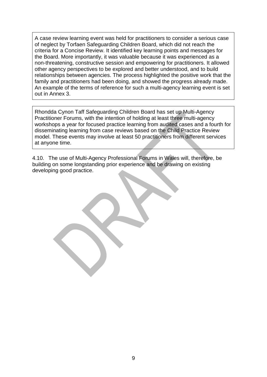A case review learning event was held for practitioners to consider a serious case of neglect by Torfaen Safeguarding Children Board, which did not reach the criteria for a Concise Review. It identified key learning points and messages for the Board. More importantly, it was valuable because it was experienced as a non-threatening, constructive session and empowering for practitioners. It allowed other agency perspectives to be explored and better understood, and to build relationships between agencies. The process highlighted the positive work that the family and practitioners had been doing, and showed the progress already made. An example of the terms of reference for such a multi-agency learning event is set out in Annex 3.

Rhondda Cynon Taff Safeguarding Children Board has set up Multi-Agency Practitioner Forums, with the intention of holding at least three multi-agency workshops a year for focused practice learning from audited cases and a fourth for disseminating learning from case reviews based on the Child Practice Review model. These events may involve at least 50 practitioners from different services at anyone time.

4.10. The use of Multi-Agency Professional Forums in Wales will, therefore, be building on some longstanding prior experience and be drawing on existing developing good practice.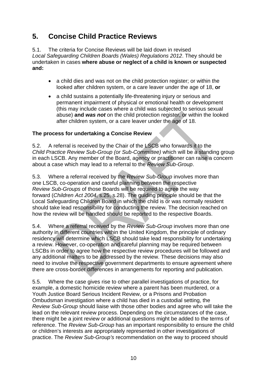# **5. Concise Child Practice Reviews**

5.1. The criteria for Concise Reviews will be laid down in revised *Local Safeguarding Children Boards (Wales) Regulations 2012*. They should be undertaken in cases **where abuse or neglect of a child is known or suspected and:**

- a child dies and was not on the child protection register; or within the looked after children system, or a care leaver under the age of 18, **or**
- a child sustains a potentially life-threatening injury or serious and permanent impairment of physical or emotional health or development (this may include cases where a child was subjected to serious sexual abuse) **and** *was not* on the child protection register, or within the looked after children system, or a care leaver under the age of 18.

#### **The process for undertaking a Concise Review**

5.2. A referral is received by the Chair of the LSCB who forwards it to the *Child Practice Review Sub-Group (or Sub-Committee)* which will be a standing group in each LSCB. Any member of the Board, agency or practitioner can raise a concern about a case which may lead to a referral to the *Review Sub-Group*.

5.3. Where a referral received by the *Review Sub-Group* involves more than one LSCB, co-operation and careful planning between the respective *Review Sub-Groups* of those Boards will be required to agree the way forward (*Children Act 2004*, s.25, s.28). The guiding principle should be that the Local Safeguarding Children Board in which the child is or was normally resident should take lead responsibility for conducting the review. The decision reached on how the review will be handled should be reported to the respective Boards.

5.4. Where a referral received by the *Review Sub-Group* involves more than one authority in different countries within the United Kingdom, the principle of ordinary residency will determine which LSCB should take lead responsibility for undertaking a review. However, co-operation and careful planning may be required between LSCBs in order to agree how the respective review procedures will be followed and any additional matters to be addressed by the review. These decisions may also need to involve the respective government departments to ensure agreement where there are cross-border differences in arrangements for reporting and publication.

5.5. Where the case gives rise to other parallel investigations of practice, for example, a domestic homicide review where a parent has been murdered, or a Youth Justice Board Serious Incident Review, or a Prisons and Probation Ombudsman investigation where a child has died in a custodial setting, the *Review Sub-Group* should liaise with those other bodies and agree who will take the lead on the relevant review process. Depending on the circumstances of the case, there might be a joint review or additional questions might be added to the terms of reference. The *Review Sub-Group* has an important responsibility to ensure the child or children's interests are appropriately represented in other investigations of practice. The *Review Sub-Group's* recommendation on the way to proceed should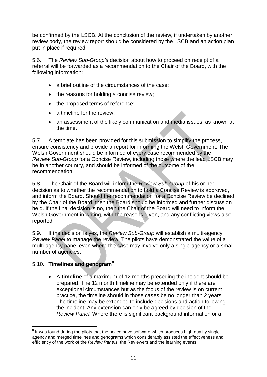be confirmed by the LSCB. At the conclusion of the review, if undertaken by another review body, the review report should be considered by the LSCB and an action plan put in place if required.

5.6. The *Review Sub-Group's* decision about how to proceed on receipt of a referral will be forwarded as a recommendation to the Chair of the Board, with the following information:

- a brief outline of the circumstances of the case;
- the reasons for holding a concise review;
- the proposed terms of reference;
- a timeline for the review;
- an assessment of the likely communication and media issues, as known at the time.

5.7. A template has been provided for this submission to simplify the process, ensure consistency and provide a report for informing the Welsh Government. The Welsh Government should be informed of every case recommended by the *Review Sub-Group* for a Concise Review, including those where the lead LSCB may be in another country, and should be informed of the outcome of the recommendation.

5.8. The Chair of the Board will inform the *Review Sub-Group* of his or her decision as to whether the recommendation to hold a Concise Review is approved, and inform the Board. Should the recommendation for a Concise Review be declined by the Chair of the Board, then the Board should be informed and further discussion held. If the final decision is no, then the Chair of the Board will need to inform the Welsh Government in writing, with the reasons given, and any conflicting views also reported.

5.9. If the decision is yes, the *Review Sub-Group* will establish a multi-agency *Review Panel* to manage the review. The pilots have demonstrated the value of a multi-agency panel even where the case may involve only a single agency or a small number of agencies.

## 5.10. **Timelines and genogram[8](#page-12-0)**

• A **timeline** of a maximum of 12 months preceding the incident should be prepared. The 12 month timeline may be extended only if there are exceptional circumstances but as the focus of the review is on current practice, the timeline should in those cases be no longer than 2 years. The timeline may be extended to include decisions and action following the incident. Any extension can only be agreed by decision of the *Review Panel.* Where there is significant background information or a

<span id="page-12-0"></span><sup>1</sup>  $8$  It was found during the pilots that the police have software which produces high quality single agency and merged timelines and genograms which considerably assisted the effectiveness and efficiency of the work of the *Review Panels,* the Reviewers and the learning events.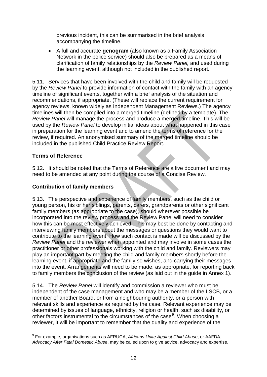previous incident, this can be summarised in the brief analysis accompanying the timeline.

• A full and accurate **genogram** (also known as a Family Association Network in the police service) should also be prepared as a means of clarification of family relationships by the *Review Panel,* and used during the learning event, although not included in the published report*.* 

5.11. Services that have been involved with the child and family will be requested by the *Review Panel* to provide information of contact with the family with an agency timeline of significant events, together with a brief analysis of the situation and recommendations, if appropriate. (These will replace the current requirement for agency reviews, known widely as Independent Management Reviews.) The agency timelines will then be compiled into a merged timeline (defined by a template). The *Review Panel* will manage the process and produce a merged timeline. This will be used by the *Review Panel* to develop initial ideas about what happened in this case in preparation for the learning event and to amend the terms of reference for the review, if required. An anonymised summary of the merged timeline should be included in the published Child Practice Review Report.

#### **Terms of Reference**

5.12. It should be noted that the Terms of Reference are a live document and may need to be amended at any point during the course of a Concise Review.

#### **Contribution of family members**

5.13. The perspective and experience of family members, such as the child or young person, his or her siblings, parents, carers, grandparents or other significant family members (as appropriate to the case), should wherever possible be incorporated into the review process and the Review Panel will need to consider how this can be most effectively achieved. This may best be done by contacting and interviewing family members about the messages or questions they would want to contribute to the learning event. How such contact is made will be discussed by the *Review Panel* and the reviewer when appointed and may involve in some cases the practitioner or other professionals working with the child and family. Reviewers may play an important part by meeting the child and family members shortly before the learning event, if appropriate and the family so wishes, and carrying their messages into the event. Arrangements will need to be made, as appropriate, for reporting back to family members the conclusion of the review (as laid out in the guide in Annex 1).

5.14. The *Review Panel* will identify and commission a reviewer who must be independent of the case management and who may be a member of the LSCB, or a member of another Board, or from a neighbouring authority, or a person with relevant skills and experience as required by the case. Relevant experience may be determined by issues of language, ethnicity, religion or health, such as disability, or other factors instrumental to the circumstances of the case<sup>[9](#page-13-0)</sup>. When choosing a reviewer, it will be important to remember that the quality and experience of the

<span id="page-13-0"></span><sup>1</sup> 9 For example, organisations such as AFRUCA, *Africans Unite Against Child Abuse*, or AAFDA, *Advocacy After Fatal Domestic Abuse*, may be called upon to give advice, advocacy and expertise.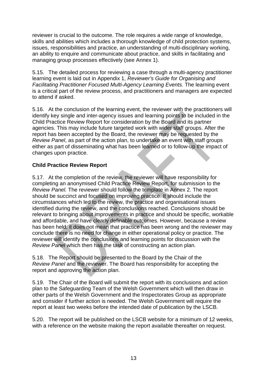reviewer is crucial to the outcome. The role requires a wide range of knowledge, skills and abilities which includes a thorough knowledge of child protection systems, issues, responsibilities and practice, an understanding of multi-disciplinary working, an ability to enquire and communicate about practice, and skills in facilitating and managing group processes effectively (see Annex 1).

5.15. The detailed process for reviewing a case through a multi-agency practitioner learning event is laid out in Appendix 1, *Reviewer's Guide for Organising and Facilitating Practitioner Focused Multi-Agency Learning Events.* The learning event is a critical part of the review process, and practitioners and managers are expected to attend if asked.

5.16. At the conclusion of the learning event, the reviewer with the practitioners will identify key single and inter-agency issues and learning points to be included in the Child Practice Review Report for consideration by the Board and its partner agencies. This may include future targeted work with wider staff groups. After the report has been accepted by the Board, the reviewer may be requested by the *Review Panel*, as part of the action plan, to undertake an event with staff groups either as part of disseminating what has been learned or to follow-up the impact of changes upon practice.

#### **Child Practice Review Report**

5.17. At the completion of the review, the reviewer will have responsibility for completing an anonymised Child Practice Review Report, for submission to the *Review Panel.* The reviewer should follow the template in Annex 2. The report should be succinct and focused on improving practice. It should include the circumstances which led to the review, the practice and organisational issues identified during the review, and the conclusions reached. Conclusions should be relevant to bringing about improvements in practice and should be specific, workable and affordable, and have clearly definable outcomes. However, because a review has been held, it does not mean that practice has been wrong and the reviewer may conclude there is no need for change in either operational policy or practice. The reviewer will identify the conclusions and learning points for discussion with the *Review Panel* which then has the task of constructing an action plan.

5.18. The Report should be presented to the Board by the Chair of the *Review Panel* and the reviewer. The Board has responsibility for accepting the report and approving the action plan.

5.19. The Chair of the Board will submit the report with its conclusions and action plan to the Safeguarding Team of the Welsh Government which will then draw in other parts of the Welsh Government and the Inspectorates Group as appropriate and consider if further action is needed. The Welsh Government will require the report at least two weeks before the intended date of publication by the LSCB.

5.20. The report will be published on the LSCB website for a minimum of 12 weeks, with a reference on the website making the report available thereafter on request.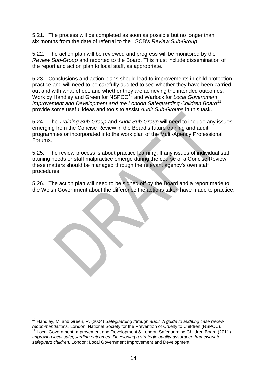5.21. The process will be completed as soon as possible but no longer than six months from the date of referral to the LSCB's *Review Sub-Group*.

5.22. The action plan will be reviewed and progress will be monitored by the *Review Sub-Group* and reported to the Board. This must include dissemination of the report and action plan to local staff, as appropriate.

5.23. Conclusions and action plans should lead to improvements in child protection practice and will need to be carefully audited to see whether they have been carried out and with what effect, and whether they are achieving the intended outcomes. Work by Handley and Green for NSPCC[10](#page-15-0) and Warlock for *Local Government Improvement and Development and the London Safeguarding Children Board*[11](#page-15-1) provide some useful ideas and tools to assist *Audit Sub-Groups* in this task.

5.24. The *Training Sub-Group* and *Audit Sub-Group* will need to include any issues emerging from the Concise Review in the Board's future training and audit programmes or incorporated into the work plan of the Multi-Agency Professional Forums.

5.25. The review process is about practice learning. If any issues of individual staff training needs or staff malpractice emerge during the course of a Concise Review, these matters should be managed through the relevant agency's own staff procedures.

5.26. The action plan will need to be signed off by the Board and a report made to the Welsh Government about the difference the actions taken have made to practice.

<span id="page-15-0"></span><sup>1</sup> <sup>10</sup> Handley, M. and Green, R. (2004) *Safeguarding through audit. A guide to auditing case review*<br>recommendations. London: National Society for the Prevention of Cruelty to Children (NSPCC).

<span id="page-15-1"></span>Local Government Improvement and Development & London Safeguarding Children Board (2011). *Improving local safeguarding outcomes: Developing a strategic quality assurance framework to safeguard children.* London: Local Government Improvement and Development.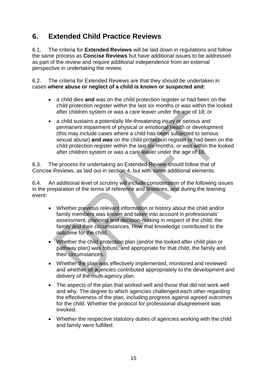# **6. Extended Child Practice Reviews**

6.1. The criteria for **Extended Reviews** will be laid down in regulations and follow the same process as **Concise Reviews** but have additional issues to be addressed as part of the review and require additional independence from an external perspective in undertaking the review.

6.2. The criteria for Extended Reviews are that they should be undertaken in cases **where abuse or neglect of a child is known or suspected and:**

- a child dies **and** was on the child protection register or had been on the child protection register within the last six months or was within the looked after children system or was a care leaver under the age of 18; or
- a child sustains a potentially life-threatening injury or serious and permanent impairment of physical or emotional health or development (this may include cases where a child has been subjected to serious sexual abuse) **and** *was* on the child protection register or had been on the child protection register within the last six months, or was within the looked after children system or was a care leaver under the age of 18.

6.3. The process for undertaking an Extended Review should follow that of Concise Reviews, as laid out in section 4, but with some additional elements.

6.4. An additional level of scrutiny will include consideration of the following issues in the preparation of the terms of reference and timelines, and during the learning event:

- Whether previous relevant information or history about the child and/or family members was known and taken into account in professionals' assessment, planning and decision-making in respect of the child, the family and their circumstances. How that knowledge contributed to the outcome for the child.
- Whether the child protection plan (and/or the looked after child plan or pathway plan) was robust, and appropriate for that child, the family and their circumstances.
- Whether the plan was effectively implemented, monitored and reviewed and whether all agencies contributed appropriately to the development and delivery of the multi-agency plan.
- The aspects of the plan that worked well and those that did not work well and why. The degree to which agencies challenged each other regarding the effectiveness of the plan, including progress against agreed outcomes for the child. Whether the protocol for professional disagreement was invoked.
- Whether the respective statutory duties of agencies working with the child and family were fulfilled.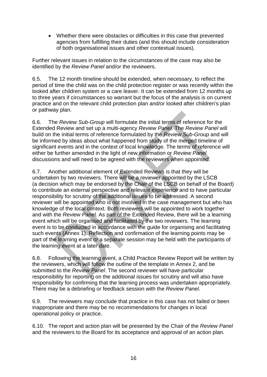• Whether there were obstacles or difficulties in this case that prevented agencies from fulfilling their duties (and this should include consideration of both organisational issues and other contextual issues).

Further relevant issues in relation to the circumstances of the case may also be identified by the *Review Panel* and/or the reviewers.

6.5. The 12 month timeline should be extended, when necessary, to reflect the period of time the child was on the child protection register or was recently within the looked after children system or a care leaver. It can be extended from 12 months up to three years if circumstances so warrant but the focus of the analysis is on current practice and on the relevant child protection plan and/or looked after children's plan or pathway plan.

6.6. The *Review Sub-Group* will formulate the initial terms of reference for the Extended Review and set up a multi-agency *Review Panel.* The *Review Panel* will build on the initial terms of reference formulated by the *Review Sub-Group* and will be informed by ideas about what happened from study of the merged timeline of significant events and in the context of local knowledge. The terms of reference will either be further amended in the light of new information or *Review Panel* discussions and will need to be agreed with the reviewers when appointed.

6.7. Another additional element of Extended Reviews is that they will be undertaken by two reviewers. There will be a reviewer appointed by the LSCB (a decision which may be endorsed by the Chair of the LSCB on behalf of the Board) to contribute an external perspective and relevant experience and to have particular responsibility for scrutiny of the additional issues to be addressed. A second reviewer will be appointed who is not involved in the case management but who has knowledge of the local context. Both reviewers will be appointed to work together and with the *Review Panel.* As part of the Extended Review, there will be a learning event which will be organised and facilitated by the two reviewers. The learning event is to be conducted in accordance with the guide for organising and facilitating such events (Annex 1). Reflection and confirmation of the learning points may be part of the learning event or a separate session may be held with the participants of the learning event at a later date.

6.8. Following the learning event, a Child Practice Review Report will be written by the reviewers, which will follow the outline of the template in Annex 2, and be submitted to the *Review Panel*. The second reviewer will have particular responsibility for reporting on the additional issues for scrutiny and will also have responsibility for confirming that the learning process was undertaken appropriately. There may be a debriefing or feedback session with the *Review Panel*.

6.9. The reviewers may conclude that practice in this case has not failed or been inappropriate and there may be no recommendations for changes in local operational policy or practice.

6.10. The report and action plan will be presented by the Chair of the *Review Panel* and the reviewers to the Board for its acceptance and approval of an action plan.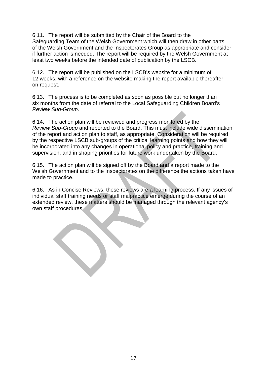6.11. The report will be submitted by the Chair of the Board to the Safeguarding Team of the Welsh Government which will then draw in other parts of the Welsh Government and the Inspectorates Group as appropriate and consider if further action is needed. The report will be required by the Welsh Government at least two weeks before the intended date of publication by the LSCB.

6.12. The report will be published on the LSCB's website for a minimum of 12 weeks, with a reference on the website making the report available thereafter on request.

6.13. The process is to be completed as soon as possible but no longer than six months from the date of referral to the Local Safeguarding Children Board's *Review Sub-Group*.

6.14. The action plan will be reviewed and progress monitored by the *Review Sub-Group* and reported to the Board. This must include wide dissemination of the report and action plan to staff, as appropriate. Consideration will be required by the respective LSCB sub-groups of the critical learning points and how they will be incorporated into any changes in operational policy and practice, training and supervision, and in shaping priorities for future work undertaken by the Board.

6.15. The action plan will be signed off by the Board and a report made to the Welsh Government and to the Inspectorates on the difference the actions taken have made to practice.

6.16. As in Concise Reviews, these reviews are a learning process. If any issues of individual staff training needs or staff malpractice emerge during the course of an extended review, these matters should be managed through the relevant agency's own staff procedures.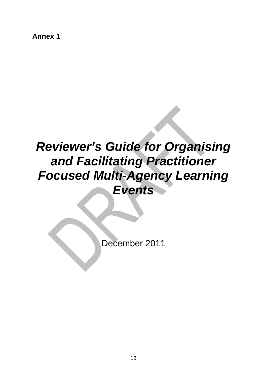**Annex 1** 

# *Reviewer's Guide for Organising and Facilitating Practitioner Focused Multi-Agency Learning Events*

December 2011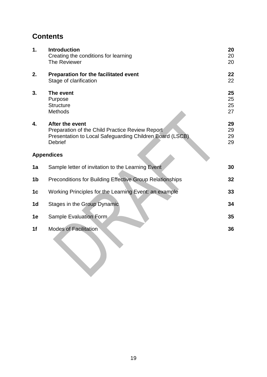# **Contents**

| 1. | <b>Introduction</b><br>Creating the conditions for learning<br>The Reviewer                                                                      | 20<br>20<br>20       |
|----|--------------------------------------------------------------------------------------------------------------------------------------------------|----------------------|
| 2. | Preparation for the facilitated event<br>Stage of clarification                                                                                  | 22<br>22             |
| 3. | The event<br>Purpose<br><b>Structure</b><br><b>Methods</b>                                                                                       | 25<br>25<br>25<br>27 |
| 4. | After the event<br>Preparation of the Child Practice Review Report<br>Presentation to Local Safeguarding Children Board (LSCB)<br><b>Debrief</b> | 29<br>29<br>29<br>29 |
|    | <b>Appendices</b>                                                                                                                                |                      |
| 1a | Sample letter of invitation to the Learning Event                                                                                                | 30                   |
| 1b | <b>Preconditions for Building Effective Group Relationships</b>                                                                                  | 32                   |
| 1c | Working Principles for the Learning Event: an example                                                                                            | 33                   |
| 1d | Stages in the Group Dynamic                                                                                                                      | 34                   |
| 1e | <b>Sample Evaluation Form</b>                                                                                                                    | 35                   |
| 1f | <b>Modes of Facilitation</b>                                                                                                                     | 36                   |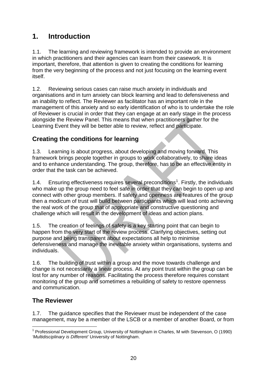# **1. Introduction**

1.1. The learning and reviewing framework is intended to provide an environment in which practitioners and their agencies can learn from their casework. It is important, therefore, that attention is given to creating the conditions for learning from the very beginning of the process and not just focusing on the learning event itself.

1.2. Reviewing serious cases can raise much anxiety in individuals and organisations and in turn anxiety can block learning and lead to defensiveness and an inability to reflect. The Reviewer as facilitator has an important role in the management of this anxiety and so early identification of who is to undertake the role of Reviewer is crucial in order that they can engage at an early stage in the process alongside the Review Panel. This means that when practitioners gather for the Learning Event they will be better able to review, reflect and participate.

## **Creating the conditions for learning**

1.3. Learning is about progress, about developing and moving forward. This framework brings people together in groups to work collaboratively, to share ideas and to enhance understanding. The group, therefore, has to be an effective entity in order that the task can be achieved.

[1](#page-21-0).4. Ensuring effectiveness requires several preconditions<sup>1</sup>. Firstly, the individuals who make up the group need to feel safe in order that they can begin to open up and connect with other group members. If safety and openness are features of the group then a modicum of trust will build between participants which will lead onto achieving the real work of the group that of appropriate and constructive questioning and challenge which will result in the development of ideas and action plans.

1.5. The creation of feelings of safety is a key starting point that can begin to happen from the very start of the review process. Clarifying objectives, setting out purpose and being transparent about expectations all help to minimise defensiveness and manage the inevitable anxiety within organisations, systems and individuals.

1.6. The building of trust within a group and the move towards challenge and change is not necessarily a linear process. At any point trust within the group can be lost for any number of reasons. Facilitating the process therefore requires constant monitoring of the group and sometimes a rebuilding of safety to restore openness and communication.

## **The Reviewer**

1.7. The guidance specifies that the Reviewer must be independent of the case management, may be a member of the LSCB or a member of another Board, or from

<span id="page-21-0"></span><sup>1</sup> <sup>1</sup> Professional Development Group, University of Nottingham in Charles, M with Stevenson, O (1990) *'Multidisciplinary is Different'* University of Nottingham.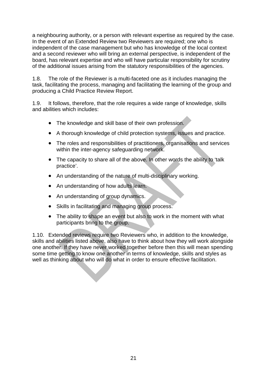a neighbouring authority, or a person with relevant expertise as required by the case. In the event of an Extended Review two Reviewers are required; one who is independent of the case management but who has knowledge of the local context and a second reviewer who will bring an external perspective, is independent of the board, has relevant expertise and who will have particular responsibility for scrutiny of the additional issues arising from the statutory responsibilities of the agencies.

1.8. The role of the Reviewer is a multi-faceted one as it includes managing the task, facilitating the process, managing and facilitating the learning of the group and producing a Child Practice Review Report.

1.9. It follows, therefore, that the role requires a wide range of knowledge, skills and abilities which includes:

- The knowledge and skill base of their own profession.
- A thorough knowledge of child protection systems, issues and practice.
- The roles and responsibilities of practitioners, organisations and services within the inter-agency safeguarding network.
- The capacity to share all of the above. In other words the ability to 'talk practice'.
- An understanding of the nature of multi-disciplinary working.
- An understanding of how adults learn.
- An understanding of group dynamics.
- Skills in facilitating and managing group process.
- The ability to shape an event but also to work in the moment with what participants bring to the group.

1.10. Extended reviews require two Reviewers who, in addition to the knowledge, skills and abilities listed above, also have to think about how they will work alongside one another. If they have never worked together before then this will mean spending some time getting to know one another in terms of knowledge, skills and styles as well as thinking about who will do what in order to ensure effective facilitation.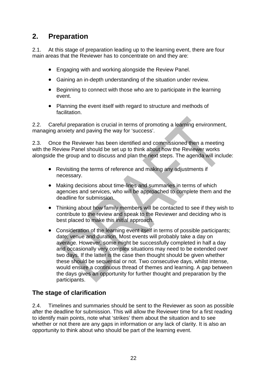# **2. Preparation**

2.1. At this stage of preparation leading up to the learning event, there are four main areas that the Reviewer has to concentrate on and they are:

- Engaging with and working alongside the Review Panel.
- Gaining an in-depth understanding of the situation under review.
- Beginning to connect with those who are to participate in the learning event.
- Planning the event itself with regard to structure and methods of facilitation.

2.2. Careful preparation is crucial in terms of promoting a learning environment, managing anxiety and paving the way for 'success'.

2.3. Once the Reviewer has been identified and commissioned then a meeting with the Review Panel should be set up to think about how the Reviewer works alongside the group and to discuss and plan the next steps. The agenda will include:

- Revisiting the terms of reference and making any adjustments if necessary.
- Making decisions about time-lines and summaries in terms of which agencies and services, who will be approached to complete them and the deadline for submission.
- Thinking about how family members will be contacted to see if they wish to contribute to the review and speak to the Reviewer and deciding who is best placed to make this initial approach.
- Consideration of the learning event itself in terms of possible participants; date; venue and duration. Most events will probably take a day on average. However, some might be successfully completed in half a day and occasionally very complex situations may need to be extended over two days. If the latter is the case then thought should be given whether these should be sequential or not. Two consecutive days, whilst intense, would ensure a continuous thread of themes and learning. A gap between the days gives an opportunity for further thought and preparation by the participants.

## **The stage of clarification**

2.4. Timelines and summaries should be sent to the Reviewer as soon as possible after the deadline for submission. This will allow the Reviewer time for a first reading to identify main points, note what 'strikes' them about the situation and to see whether or not there are any gaps in information or any lack of clarity. It is also an opportunity to think about who should be part of the learning event.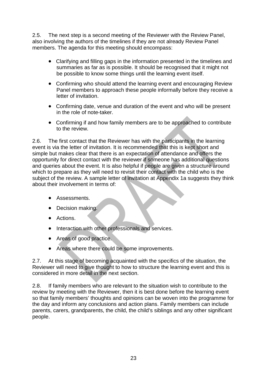2.5. The next step is a second meeting of the Reviewer with the Review Panel, also involving the authors of the timelines if they are not already Review Panel members. The agenda for this meeting should encompass:

- Clarifying and filling gaps in the information presented in the timelines and summaries as far as is possible. It should be recognised that it might not be possible to know some things until the learning event itself.
- Confirming who should attend the learning event and encouraging Review Panel members to approach these people informally before they receive a letter of invitation.
- Confirming date, venue and duration of the event and who will be present in the role of note-taker.
- Confirming if and how family members are to be approached to contribute to the review.

2.6. The first contact that the Reviewer has with the participants in the learning event is via the letter of invitation. It is recommended that this is kept short and simple but makes clear that there is an expectation of attendance and offers the opportunity for direct contact with the reviewer if someone has additional questions and queries about the event. It is also helpful if people are given a structure around which to prepare as they will need to revisit their contact with the child who is the subject of the review. A sample letter of invitation at Appendix 1a suggests they think about their involvement in terms of:

- Assessments.
- Decision making.
- Actions.
- Interaction with other professionals and services.
- Areas of good practice.
- Areas where there could be some improvements.

2.7. At this stage of becoming acquainted with the specifics of the situation, the Reviewer will need to give thought to how to structure the learning event and this is considered in more detail in the next section.

2.8. If family members who are relevant to the situation wish to contribute to the review by meeting with the Reviewer, then it is best done before the learning event so that family members' thoughts and opinions can be woven into the programme for the day and inform any conclusions and action plans. Family members can include parents, carers, grandparents, the child, the child's siblings and any other significant people.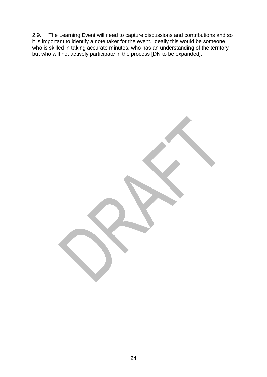2.9. The Learning Event will need to capture discussions and contributions and so it is important to identify a note taker for the event. Ideally this would be someone who is skilled in taking accurate minutes, who has an understanding of the territory but who will not actively participate in the process [DN to be expanded].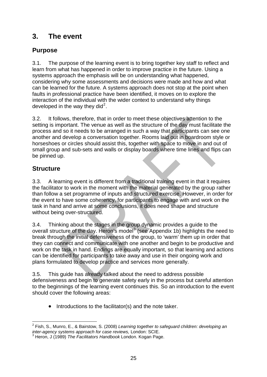# **3. The event**

## **Purpose**

3.1. The purpose of the learning event is to bring together key staff to reflect and learn from what has happened in order to improve practice in the future. Using a systems approach the emphasis will be on understanding what happened, considering why some assessments and decisions were made and how and what can be learned for the future. A systems approach does not stop at the point when faults in professional practice have been identified, it moves on to explore the interaction of the individual with the wider context to understand why things developed in the way they did<sup>[2](#page-26-0)</sup>.

3.2. It follows, therefore, that in order to meet these objectives attention to the setting is important. The venue as well as the structure of the day must facilitate the process and so it needs to be arranged in such a way that participants can see one another and develop a conversation together. Rooms laid out in boardroom style or horseshoes or circles should assist this, together with space to move in and out of small group and sub-sets and walls or display boards where time lines and flips can be pinned up.

## **Structure**

3.3. A learning event is different from a traditional training event in that it requires the facilitator to work in the moment with the material generated by the group rather than follow a set programme of inputs and structured exercise. However, in order for the event to have some coherency, for participants to engage with and work on the task in hand and arrive at some conclusions, it does need shape and structure without being over-structured.

3.4. Thinking about the stages in the group dynamic provides a guide to the overall structure of the day. Heron's model<sup>[3](#page-26-1)</sup> (see Appendix 1b) highlights the need to break through the initial defensiveness of the group, to 'warm' them up in order that they can connect and communicate with one another and begin to be productive and work on the task in hand. Endings are equally important, so that learning and actions can be identified for participants to take away and use in their ongoing work and plans formulated to develop practice and services more generally.

3.5. This guide has already talked about the need to address possible defensiveness and begin to generate safety early in the process but careful attention to the beginnings of the learning event continues this. So an introduction to the event should cover the following areas:

• Introductions to the facilitator(s) and the note taker.

<span id="page-26-0"></span> 2 Fish, S., Munro, E., & Bairstow, S. (2008) *Learning together to safeguard children: developing an inter-agency systems approach for case reviews,* London: SCIE.

<span id="page-26-1"></span><sup>3</sup> Heron, J (1989) *The Facilitators Handbook* London. Kogan Page.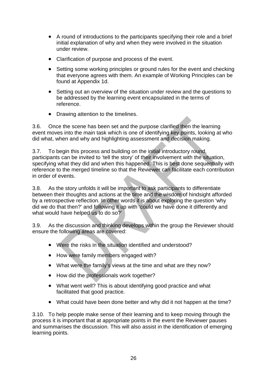- A round of introductions to the participants specifying their role and a brief initial explanation of why and when they were involved in the situation under review.
- Clarification of purpose and process of the event.
- Setting some working principles or ground rules for the event and checking that everyone agrees with them. An example of Working Principles can be found at Appendix 1d.
- Setting out an overview of the situation under review and the questions to be addressed by the learning event encapsulated in the terms of reference.
- Drawing attention to the timelines.

3.6. Once the scene has been set and the purpose clarified then the learning event moves into the main task which is one of identifying key points, looking at who did what, when and why and highlighting assessment and decision making.

3.7. To begin this process and building on the initial introductory round, participants can be invited to 'tell the story' of their involvement with the situation, specifying what they did and when this happened. This is best done sequentially with reference to the merged timeline so that the Reviewer can facilitate each contribution in order of events.

3.8. As the story unfolds it will be important to ask participants to differentiate between their thoughts and actions at the time and the wisdom of hindsight afforded by a retrospective reflection. In other words it is about exploring the question 'why did we do that then?' and following it up with 'could we have done it differently and what would have helped us to do so?'

3.9. As the discussion and thinking develops within the group the Reviewer should ensure the following areas are covered:

- Were the risks in the situation identified and understood?
- How were family members engaged with?
- What were the family's views at the time and what are they now?
- How did the professionals work together?
- What went well? This is about identifying good practice and what facilitated that good practice.
- What could have been done better and why did it not happen at the time?

3.10. To help people make sense of their learning and to keep moving through the process it is important that at appropriate points in the event the Reviewer pauses and summarises the discussion. This will also assist in the identification of emerging learning points.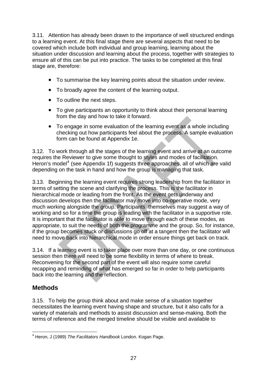3.11. Attention has already been drawn to the importance of well structured endings to a learning event. At this final stage there are several aspects that need to be covered which include both individual and group learning, learning about the situation under discussion and learning about the process, together with strategies to ensure all of this can be put into practice. The tasks to be completed at this final stage are, therefore:

- To summarise the key learning points about the situation under review.
- To broadly agree the content of the learning output.
- To outline the next steps.
- To give participants an opportunity to think about their personal learning from the day and how to take it forward.
- To engage in some evaluation of the learning event as a whole including checking out how participants feel about the process. A sample evaluation form can be found at Appendix 1e.

3.12. To work through all the stages of the learning event and arrive at an outcome requires the Reviewer to give some thought to styles and modes of facilitation. Heron's model<sup>[4](#page-28-0)</sup> (see Appendix 1f) suggests three approaches, all of which are valid depending on the task in hand and how the group is managing that task.

3.13. Beginning the learning event requires strong leadership from the facilitator in terms of setting the scene and clarifying the process. This is the facilitator in hierarchical mode or leading from the front. As the event gets underway and discussion develops then the facilitator may move into co-operative mode, very much working alongside the group. Participants themselves may suggest a way of working and so for a time the group is leading with the facilitator in a supportive role. It is important that the facilitator is able to move through each of these modes, as appropriate, to suit the needs of both the programme and the group. So, for instance, if the group becomes stuck or discussions go off at a tangent then the facilitator will need to move back into hierarchical mode in order ensure things get back on track.

3.14. If a learning event is to taker place over more than one day, or one continuous session then there will need to be some flexibility in terms of where to break. Reconvening for the second part of the event will also require some careful recapping and reminding of what has emerged so far in order to help participants back into the learning and the reflection.

## **Methods**

3.15. To help the group think about and make sense of a situation together necessitates the learning event having shape and structure, but it also calls for a variety of materials and methods to assist discussion and sense-making. Both the terms of reference and the merged timeline should be visible and available to

<span id="page-28-0"></span><sup>1</sup> 4 Heron, J (1989) *The Facilitators Handbook* London. Kogan Page.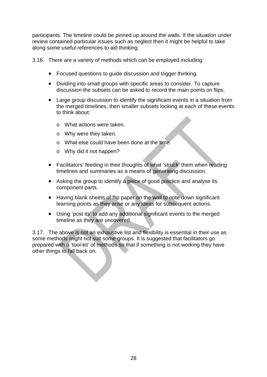participants. The timeline could be pinned up around the walls. If the situation under review contained particular issues such as neglect then it might be helpful to take along some useful references to aid thinking.

3.16. There are a variety of methods which can be employed including:

- Focused questions to guide discussion and trigger thinking.
- Dividing into small groups with specific areas to consider. To capture discussion the subsets can be asked to record the main points on flips.
- Large group discussion to identify the significant events in a situation from the merged timelines, then smaller subsets looking at each of these events to think about:
	- o What actions were taken.
	- o Why were they taken.
	- o What else could have been done at the time.
	- o Why did it not happen?
- Facilitators' feeding in their thoughts of what 'struck' them when reading timelines and summaries as a means of generating discussion.
- Asking the group to identify a piece of good practice and analyse its component parts.
- Having blank sheets of flip paper on the wall to note down significant learning points as they arise or any ideas for subsequent actions.
- Using 'post its' to add any additional significant events to the merged timeline as they are uncovered.

3.17. The above is not an exhaustive list and flexibility is essential in their use as some methods might not suit some groups. It is suggested that facilitators go prepared with a 'tool-kit' of methods so that if something is not working they have other things to fall back on.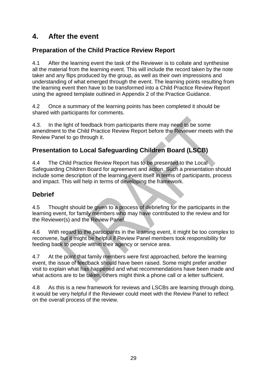# **4. After the event**

## **Preparation of the Child Practice Review Report**

4.1 After the learning event the task of the Reviewer is to collate and synthesise all the material from the learning event. This will include the record taken by the note taker and any flips produced by the group, as well as their own impressions and understanding of what emerged through the event. The learning points resulting from the learning event then have to be transformed into a Child Practice Review Report using the agreed template outlined in Appendix 2 of the Practice Guidance.

4.2 Once a summary of the learning points has been completed it should be shared with participants for comments.

4.3. In the light of feedback from participants there may need to be some amendment to the Child Practice Review Report before the Reviewer meets with the Review Panel to go through it.

## **Presentation to Local Safeguarding Children Board (LSCB)**

4.4 The Child Practice Review Report has to be presented to the Local Safeguarding Children Board for agreement and action. Such a presentation should include some description of the learning event itself in terms of participants, process and impact. This will help in terms of developing the framework.

## **Debrief**

4.5 Thought should be given to a process of debriefing for the participants in the learning event, for family members who may have contributed to the review and for the Reviewer(s) and the Review Panel.

4.6 With regard to the participants in the learning event, it might be too complex to reconvene, but it might be helpful if Review Panel members took responsibility for feeding back to people within their agency or service area.

4.7 At the point that family members were first approached, before the learning event, the issue of feedback should have been raised. Some might prefer another visit to explain what has happened and what recommendations have been made and what actions are to be taken, others might think a phone call or a letter sufficient.

4.8 As this is a new framework for reviews and LSCBs are learning through doing, it would be very helpful if the Reviewer could meet with the Review Panel to reflect on the overall process of the review.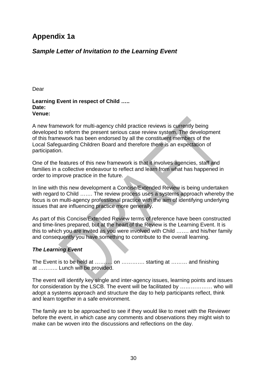# **Appendix 1a**

## *Sample Letter of Invitation to the Learning Event*

Dear

#### **Learning Event in respect of Child ….. Date: Venue:**

A new framework for multi-agency child practice reviews is currently being developed to reform the present serious case review system. The development of this framework has been endorsed by all the constituent members of the Local Safeguarding Children Board and therefore there is an expectation of participation.

One of the features of this new framework is that it involves agencies, staff and families in a collective endeavour to reflect and learn from what has happened in order to improve practice in the future.

In line with this new development a Concise/Extended Review is being undertaken with regard to Child ……. The review process uses a systems approach whereby the focus is on multi-agency professional practice with the aim of identifying underlying issues that are influencing practice more generally.

As part of this Concise/Extended Review terms of reference have been constructed and time-lines prepared, but at the heart of the Review is the Learning Event. It is this to which you are invited as you were involved with Child ……. and his/her family and consequently you have something to contribute to the overall learning.

#### *The Learning Event*

The Event is to be held at ………. on …………. starting at ……… and finishing at ……….. Lunch will be provided.

The event will identify key single and inter-agency issues, learning points and issues for consideration by the LSCB. The event will be facilitated by ……………… who will adopt a systems approach and structure the day to help participants reflect, think and learn together in a safe environment.

The family are to be approached to see if they would like to meet with the Reviewer before the event, in which case any comments and observations they might wish to make can be woven into the discussions and reflections on the day.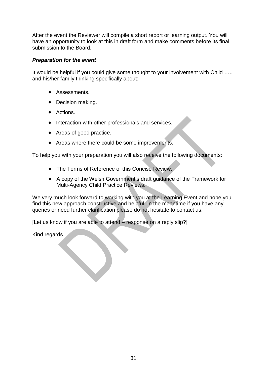After the event the Reviewer will compile a short report or learning output. You will have an opportunity to look at this in draft form and make comments before its final submission to the Board.

#### *Preparation for the event*

It would be helpful if you could give some thought to your involvement with Child ….. and his/her family thinking specifically about:

- Assessments.
- Decision making.
- Actions.
- Interaction with other professionals and services.
- Areas of good practice.
- Areas where there could be some improvements.

To help you with your preparation you will also receive the following documents:

- The Terms of Reference of this Concise Review.
- A copy of the Welsh Government's draft guidance of the Framework for Multi-Agency Child Practice Reviews.

We very much look forward to working with you at the Learning Event and hope you find this new approach constructive and helpful. In the meantime if you have any queries or need further clarification please do not hesitate to contact us.

[Let us know if you are able to attend – response on a reply slip?]

Kind regards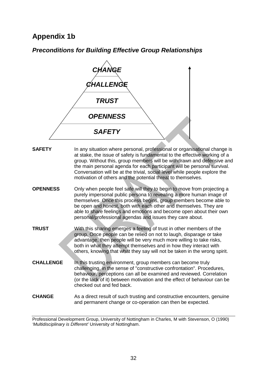# **Appendix 1b**

*Preconditions for Building Effective Group Relationships* 



Professional Development Group, University of Nottingham in Charles, M with Stevenson, O (1990) *'Multidisciplinary is Different'* University of Nottingham.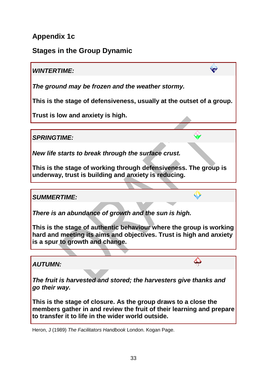# **Appendix 1c**

# **Stages in the Group Dynamic**

## *WINTERTIME:*

*The ground may be frozen and the weather stormy.* 

**This is the stage of defensiveness, usually at the outset of a group.** 

W

**Trust is low and anxiety is high.** 

*SPRINGTIME:*

*New life starts to break through the surface crust.* 

**This is the stage of working through defensiveness. The group is underway, trust is building and anxiety is reducing.** 

## *SUMMERTIME:*

*There is an abundance of growth and the sun is high.* 

**This is the stage of authentic behaviour where the group is working hard and meeting its aims and objectives. Trust is high and anxiety is a spur to growth and change.** 

*AUTUMN:*

*The fruit is harvested and stored; the harvesters give thanks and go their way.* 

**This is the stage of closure. As the group draws to a close the members gather in and review the fruit of their learning and prepare to transfer it to life in the wider world outside.** 

Heron, J (1989) *The Facilitators Handbook* London. Kogan Page.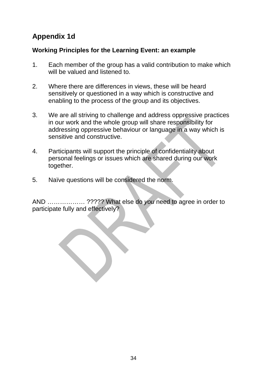# **Appendix 1d**

## **Working Principles for the Learning Event: an example**

- 1. Each member of the group has a valid contribution to make which will be valued and listened to.
- 2. Where there are differences in views, these will be heard sensitively or questioned in a way which is constructive and enabling to the process of the group and its objectives.
- 3. We are all striving to challenge and address oppressive practices in our work and the whole group will share responsibility for addressing oppressive behaviour or language in a way which is sensitive and constructive.
- 4. Participants will support the principle of confidentiality about personal feelings or issues which are shared during our work together.
- 5. Naïve questions will be considered the norm.

AND ……………… ????? What else do *you* need to agree in order to participate fully and effectively?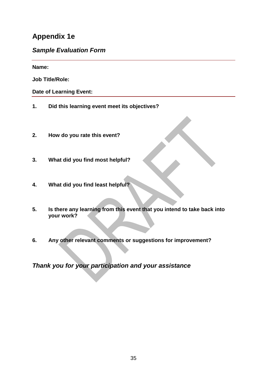# **Appendix 1e**

## *Sample Evaluation Form*

**Name:** 

**Job Title/Role:** 

**Date of Learning Event:** 

- **1. Did this learning event meet its objectives?**
- **2. How do you rate this event?**
- **3. What did you find most helpful?**
- **4. What did you find least helpful?**
- **5. Is there any learning from this event that you intend to take back into your work?**
- **6. Any other relevant comments or suggestions for improvement?**

*Thank you for your participation and your assistance*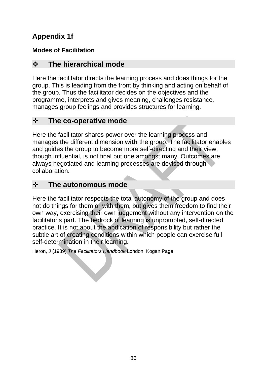# **Appendix 1f**

# **Modes of Facilitation**

# **The hierarchical mode**

Here the facilitator directs the learning process and does things for the group. This is leading from the front by thinking and acting on behalf of the group. Thus the facilitator decides on the objectives and the programme, interprets and gives meaning, challenges resistance, manages group feelings and provides structures for learning.

# **The co-operative mode**

Here the facilitator shares power over the learning process and manages the different dimension **with** the group. The facilitator enables and guides the group to become more self-directing and their view, though influential, is not final but one amongst many. Outcomes are always negotiated and learning processes are devised through collaboration.

# **The autonomous mode**

Here the facilitator respects the total autonomy of the group and does not do things for them or with them, but gives them freedom to find their own way, exercising their own judgement without any intervention on the facilitator's part. The bedrock of learning is unprompted, self-directed practice. It is not about the abdication of responsibility but rather the subtle art of creating conditions within which people can exercise full self-determination in their learning.

Heron, J (1989) *The Facilitators Handbook* London. Kogan Page.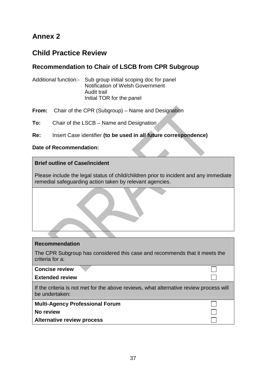# **Annex 2**

# **Child Practice Review**

## **Recommendation to Chair of LSCB from CPR Subgroup**

Additional function:- Sub group initial scoping doc for panel Notification of Welsh Government Audit trail Initial TOR for the panel

**From:** Chair of the CPR (Subgroup) – Name and Designation

**To:** Chair of the LSCB – Name and Designation

**Re:** Insert Case identifier **(to be used in all future correspondence)**

#### **Date of Recommendation:**

#### **Brief outline of Case/incident**

Please include the legal status of child/children prior to incident and any immediate remedial safeguarding action taken by relevant agencies.

The CPR Subgroup has considered this case and recommends that it meets the criteria for a:

**Concise review** 

**Extended review** 

If the criteria is not met for the above reviews, what alternative review process will be undertaken:

**Multi-Agency Professional Forum** 

**No review** 

**Alternative review process**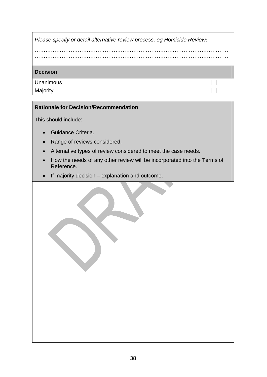| Please specify or detail alternative review process, eg Homicide Review: |  |  |  |
|--------------------------------------------------------------------------|--|--|--|
|                                                                          |  |  |  |
|                                                                          |  |  |  |
| <b>Decision</b>                                                          |  |  |  |
| Unanimous                                                                |  |  |  |
| Majority                                                                 |  |  |  |

#### **Rationale for Decision/Recommendation**

This should include:-

- Guidance Criteria.
- Range of reviews considered.
- Alternative types of review considered to meet the case needs.
- How the needs of any other review will be incorporated into the Terms of Reference.
- If majority decision explanation and outcome.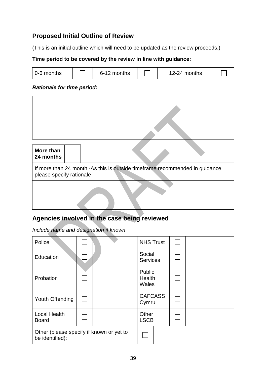## **Proposed Initial Outline of Review**

(This is an initial outline which will need to be updated as the review proceeds.)

#### **Time period to be covered by the review in line with guidance:**

| l 0-6 months |  | 6-12 months |  | 12-24 months |  |
|--------------|--|-------------|--|--------------|--|
|--------------|--|-------------|--|--------------|--|

٦

#### *Rationale for time period***:**

 $\Gamma$ 

| More than<br>24 months                                                                                  |  |  |  |  |  |
|---------------------------------------------------------------------------------------------------------|--|--|--|--|--|
| If more than 24 month -As this is outside timeframe recommended in guidance<br>please specify rationale |  |  |  |  |  |
|                                                                                                         |  |  |  |  |  |

## **Agencies involved in the case being reviewed**

*Include name and designation if known* 

| Police                                                      |  |  | <b>NHS Trust</b>          |  |
|-------------------------------------------------------------|--|--|---------------------------|--|
| Education                                                   |  |  | Social<br><b>Services</b> |  |
| Probation                                                   |  |  | Public<br>Health<br>Wales |  |
| Youth Offending                                             |  |  | <b>CAFCASS</b><br>Cymru   |  |
| <b>Local Health</b><br><b>Board</b>                         |  |  | Other<br><b>LSCB</b>      |  |
| Other (please specify if known or yet to<br>be identified): |  |  |                           |  |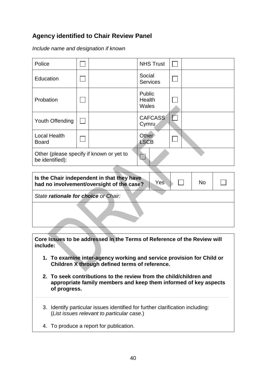## **Agency identified to Chair Review Panel**

*Include name and designation if known* 

| Police                              |                                          | <b>NHS Trust</b><br>$\mathbf{I}$ |
|-------------------------------------|------------------------------------------|----------------------------------|
| Education                           |                                          | Social<br><b>Services</b>        |
| Probation                           |                                          | Public<br>Health<br>Wales        |
| Youth Offending                     |                                          | <b>CAFCASS</b><br>Cymru          |
| <b>Local Health</b><br><b>Board</b> |                                          | Other<br><b>LSCB</b>             |
| be identified):                     | Other (please specify if known or yet to |                                  |
|                                     |                                          |                                  |

| Is the Chair independent in that they have<br>Yes<br>had no involvement/oversight of the case? | <b>No</b> |  |
|------------------------------------------------------------------------------------------------|-----------|--|
| State rationale for choice or Chair:                                                           |           |  |
|                                                                                                |           |  |

**Core Issues to be addressed in the Terms of Reference of the Review will include:**

- **1. To examine inter-agency working and service provision for Child or Children X through defined terms of reference.**
- **2. To seek contributions to the review from the child/children and appropriate family members and keep them informed of key aspects of progress.**

**\_\_\_\_\_\_\_\_\_\_\_\_\_\_\_\_\_\_\_\_\_\_\_\_\_\_\_\_\_\_\_\_\_\_\_\_\_\_\_\_\_\_\_\_\_\_\_\_\_\_\_\_\_\_\_\_\_\_\_\_\_\_\_\_\_** 

- 3. Identify particular issues identified for further clarification including: (*List issues relevant to particular case.*)
- 4. To produce a report for publication.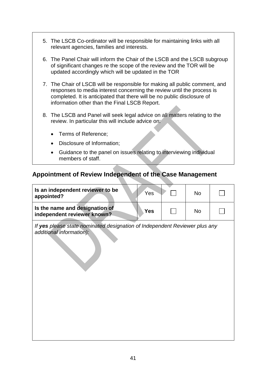- 5. The LSCB Co-ordinator will be responsible for maintaining links with all relevant agencies, families and interests.
- 6. The Panel Chair will inform the Chair of the LSCB and the LSCB subgroup of significant changes re the scope of the review and the TOR will be updated accordingly which will be updated in the TOR
- 7. The Chair of LSCB will be responsible for making all public comment, and responses to media interest concerning the review until the process is completed. It is anticipated that there will be no public disclosure of information other than the Final LSCB Report.
- 8. The LSCB and Panel will seek legal advice on all matters relating to the review. In particular this will include advice on:
	- Terms of Reference;
	- Disclosure of Information;
	- Guidance to the panel on issues relating to interviewing individual members of staff.

## **Appointment of Review Independent of the Case Management**

| Is an independent reviewer to be<br>appointed?                                                         | Yes        | <b>No</b> |  |
|--------------------------------------------------------------------------------------------------------|------------|-----------|--|
| Is the name and designation of<br>independent reviewer known?                                          | <b>Yes</b> | <b>No</b> |  |
| If yes please state nominated designation of Independent Reviewer plus any<br>additional information): |            |           |  |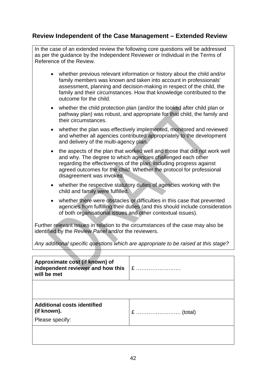## **Review Independent of the Case Management – Extended Review**

In the case of an extended review the following core questions will be addressed as per the guidance by the Independent Reviewer or Individual in the Terms of Reference of the Review.

- whether previous relevant information or history about the child and/or family members was known and taken into account in professionals' assessment, planning and decision-making in respect of the child, the family and their circumstances. How that knowledge contributed to the outcome for the child.
- whether the child protection plan (and/or the looked after child plan or pathway plan) was robust, and appropriate for that child, the family and their circumstances.
- whether the plan was effectively implemented, monitored and reviewed and whether all agencies contributed appropriately to the development and delivery of the multi-agency plan.
- the aspects of the plan that worked well and those that did not work well and why. The degree to which agencies challenged each other regarding the effectiveness of the plan, including progress against agreed outcomes for the child. Whether the protocol for professional disagreement was invoked.
- whether the respective statutory duties of agencies working with the child and family were fulfilled.
- whether there were obstacles or difficulties in this case that prevented agencies from fulfilling their duties (and this should include consideration of both organisational issues and other contextual issues).

Further relevant issues in relation to the circumstances of the case may also be identified by the *Review Panel* and/or the reviewers.

*Any additional specific questions which are appropriate to be raised at this stage?*

| Approximate cost (if known) of<br>independent reviewer and how this<br>will be met | $E$ |
|------------------------------------------------------------------------------------|-----|
|                                                                                    |     |
| <b>Additional costs identified</b><br>(if known).                                  |     |
| Please specify:                                                                    |     |
|                                                                                    |     |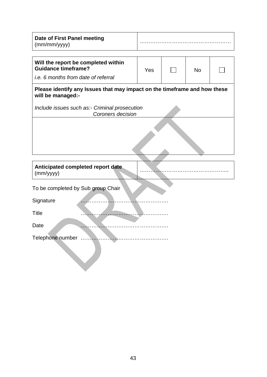| Date of First Panel meeting |  |
|-----------------------------|--|
| (mm/mm/yyyy)                |  |

|--|

| Will the report be completed within<br><b>Guidance timeframe?</b> | Yes | N٥ |  |
|-------------------------------------------------------------------|-----|----|--|
| i.e. 6 months from date of referral                               |     |    |  |

#### **Please identify any Issues that may impact on the timeframe and how these will be managed:-**

*Include issues such as:- Criminal prosecution Coroners decision* 

| (mm/yyyy)                          | Anticipated completed report date |  |  |
|------------------------------------|-----------------------------------|--|--|
| To be completed by Sub group Chair |                                   |  |  |
| Signature                          |                                   |  |  |
| <b>Title</b>                       |                                   |  |  |
| Date                               |                                   |  |  |
| Telephone number                   |                                   |  |  |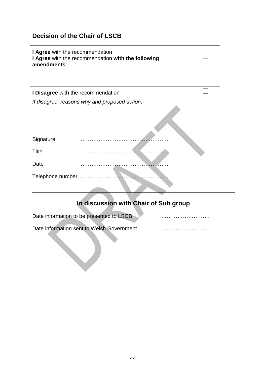## **Decision of the Chair of LSCB**

| I Agree with the recommendation<br>amendments:- | I Agree with the recommendation with the following |  |
|-------------------------------------------------|----------------------------------------------------|--|
| I Disagree with the recommendation              |                                                    |  |
|                                                 | If disagree, reasons why and proposed action:-     |  |
|                                                 |                                                    |  |
| Signature                                       |                                                    |  |
| <b>Title</b>                                    |                                                    |  |
| Date                                            |                                                    |  |
|                                                 |                                                    |  |
|                                                 |                                                    |  |

# **In discussion with Chair of Sub group**

| Date information to be presented to LSCB |  | . |
|------------------------------------------|--|---|
|                                          |  |   |

Date information sent to Welsh Government ………………………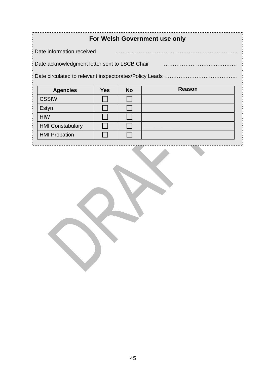# **For Welsh Government use only**

Date information received ……... ………………….………………..…….………..

Date acknowledgment letter sent to LSCB Chair **Engineeral Execution** Catalonian Date acknowledgment letter sent to LSCB Chair

Date circulated to relevant inspectorates/Policy Leads …………………………………………………………………

| <b>Agencies</b>         | <b>Yes</b> | <b>No</b> | <b>Reason</b> |
|-------------------------|------------|-----------|---------------|
| <b>CSSIW</b>            |            |           |               |
| Estyn                   |            |           |               |
| <b>HIW</b>              |            |           |               |
| <b>HMI Constabulary</b> |            |           |               |
| <b>HMI Probation</b>    |            |           |               |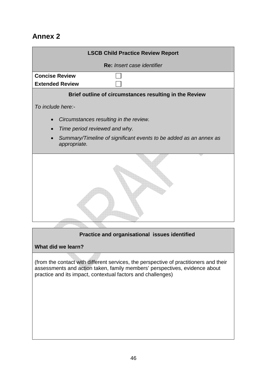# **Annex 2**



#### **Practice and organisational issues identified**

#### **What did we learn?**

(from the contact with different services, the perspective of practitioners and their assessments and action taken, family members' perspectives, evidence about practice and its impact, contextual factors and challenges)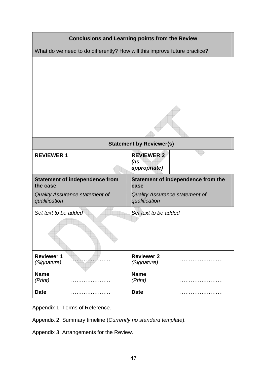| <b>Conclusions and Learning points from the Review</b>                    |                                                                         |                                          |                                                                      |  |  |
|---------------------------------------------------------------------------|-------------------------------------------------------------------------|------------------------------------------|----------------------------------------------------------------------|--|--|
| What do we need to do differently? How will this improve future practice? |                                                                         |                                          |                                                                      |  |  |
|                                                                           |                                                                         |                                          |                                                                      |  |  |
|                                                                           | <b>Statement by Reviewer(s)</b>                                         |                                          |                                                                      |  |  |
| <b>REVIEWER 1</b>                                                         |                                                                         | <b>REVIEWER 2</b><br>(as<br>appropriate) |                                                                      |  |  |
| the case<br>qualification                                                 | <b>Statement of independence from</b><br>Quality Assurance statement of | case<br>qualification                    | Statement of independence from the<br>Quality Assurance statement of |  |  |
| Set text to be added                                                      |                                                                         | Set text to be added                     |                                                                      |  |  |
| <b>Reviewer 1</b><br>(Signature)                                          |                                                                         | <b>Reviewer 2</b><br>(Signature)         |                                                                      |  |  |
| <b>Name</b><br>(Print)                                                    |                                                                         | <b>Name</b><br>(Print)                   |                                                                      |  |  |
| <b>Date</b>                                                               |                                                                         | <b>Date</b>                              |                                                                      |  |  |

Appendix 1: Terms of Reference.

Appendix 2: Summary timeline (*Currently no standard template*).

Appendix 3: Arrangements for the Review.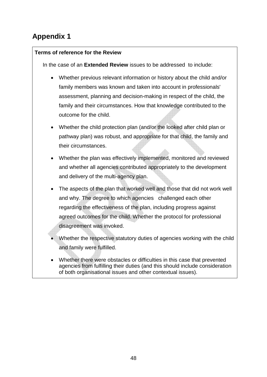# **Appendix 1**

#### **Terms of reference for the Review**

In the case of an **Extended Review** issues to be addressed to include:

- Whether previous relevant information or history about the child and/or family members was known and taken into account in professionals' assessment, planning and decision-making in respect of the child, the family and their circumstances. How that knowledge contributed to the outcome for the child.
- Whether the child protection plan (and/or the looked after child plan or pathway plan) was robust, and appropriate for that child, the family and their circumstances.
- Whether the plan was effectively implemented, monitored and reviewed and whether all agencies contributed appropriately to the development and delivery of the multi-agency plan.
- The aspects of the plan that worked well and those that did not work well and why. The degree to which agencies challenged each other regarding the effectiveness of the plan, including progress against agreed outcomes for the child. Whether the protocol for professional disagreement was invoked.
- Whether the respective statutory duties of agencies working with the child and family were fulfilled.
- Whether there were obstacles or difficulties in this case that prevented agencies from fulfilling their duties (and this should include consideration of both organisational issues and other contextual issues).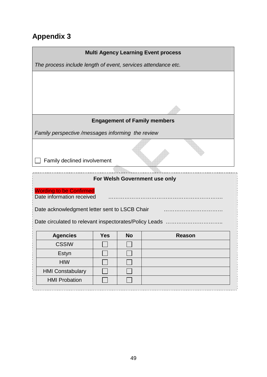# **Appendix 3**

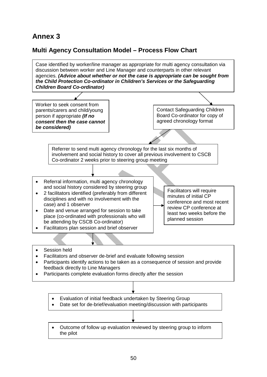# **Annex 3**

## **Multi Agency Consultation Model – Process Flow Chart**